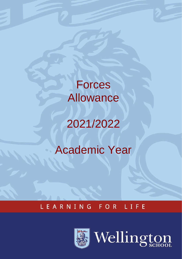**Forces** Allowance

# 2021/2022

## Academic Year

#### LEARNING FOR LIFE



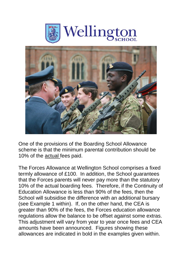



One of the provisions of the Boarding School Allowance scheme is that the minimum parental contribution should be 10% of the actual fees paid.

The Forces Allowance at Wellington School comprises a fixed termly allowance of £100. In addition, the School guarantees that the Forces parents will never pay more than the statutory 10% of the actual boarding fees. Therefore, if the Continuity of Education Allowance is less than 90% of the fees, then the School will subsidise the difference with an additional bursary (see Example 1 within). If, on the other hand, the CEA is greater than 90% of the fees, the Forces education allowance regulations allow the balance to be offset against some extras. This adjustment will vary from year to year once fees and CEA amounts have been announced. Figures showing these allowances are indicated in bold in the examples given within.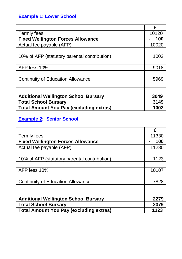#### **Example 1: Lower School**

|                                                | £     |
|------------------------------------------------|-------|
| Termly fees                                    | 10120 |
| <b>Fixed Wellington Forces Allowance</b>       | 100   |
| Actual fee payable (AFP)                       | 10020 |
|                                                |       |
| 10% of AFP (statutory parental contribution)   | 1002  |
|                                                |       |
| AFP less 10%                                   | 9018  |
|                                                |       |
| <b>Continuity of Education Allowance</b>       | 5969  |
|                                                |       |
|                                                |       |
| <b>Additional Wellington School Bursary</b>    | 3049  |
| <b>Total School Bursary</b>                    | 3149  |
| <b>Total Amount You Pay (excluding extras)</b> | 1002  |

#### **Example 2: Senior School**

|                                                | £     |
|------------------------------------------------|-------|
| Termly fees                                    | 11330 |
| <b>Fixed Wellington Forces Allowance</b>       | 100   |
| Actual fee payable (AFP)                       | 11230 |
|                                                |       |
| 10% of AFP (statutory parental contribution)   | 1123  |
|                                                |       |
| AFP less 10%                                   | 10107 |
|                                                |       |
| <b>Continuity of Education Allowance</b>       | 7828  |
|                                                |       |
|                                                |       |
| <b>Additional Wellington School Bursary</b>    | 2279  |
| <b>Total School Bursary</b>                    | 2379  |
| <b>Total Amount You Pay (excluding extras)</b> | 1123  |